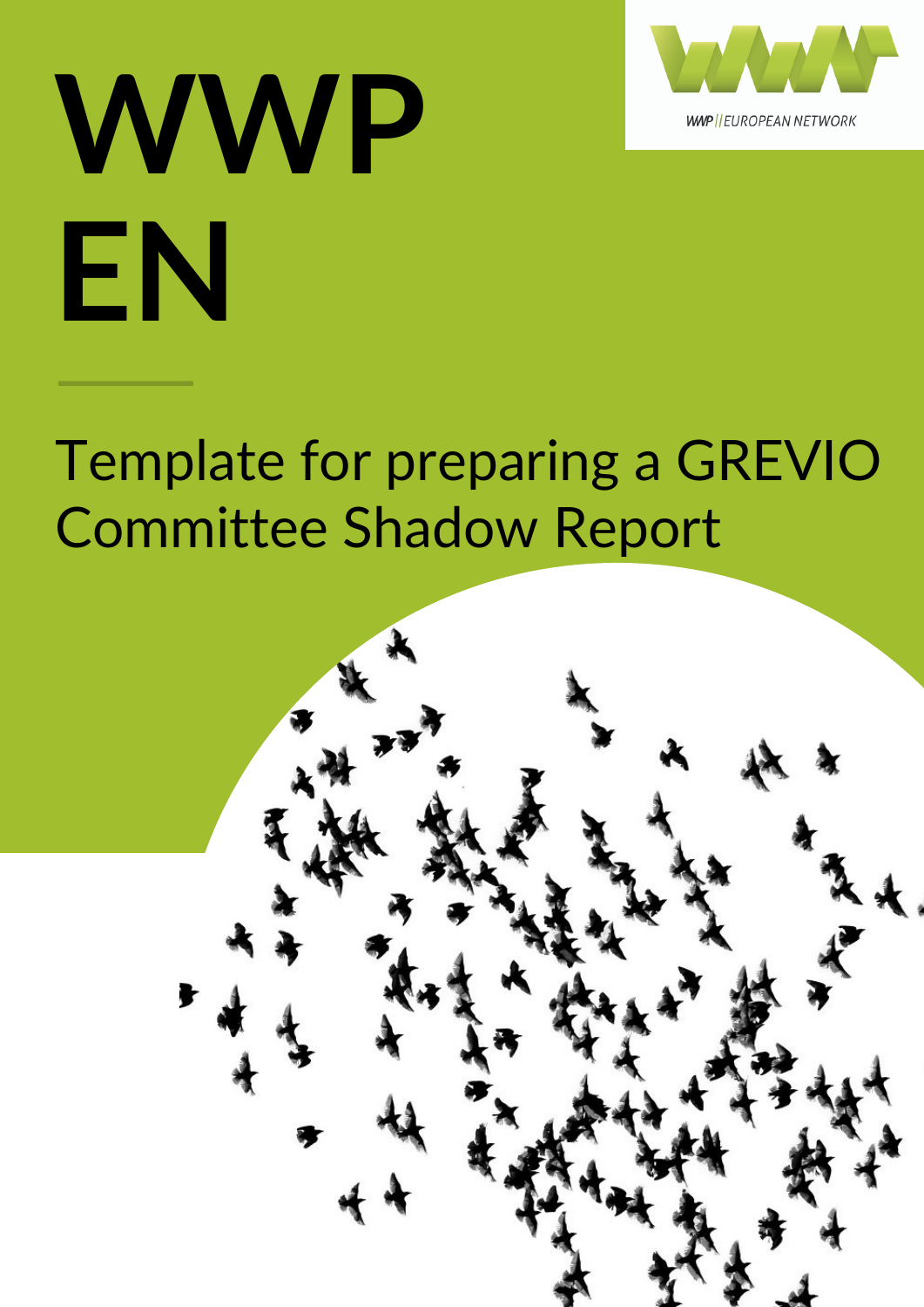

## **WWP EN**

### Template for preparing a GREVIO Committee Shadow Report

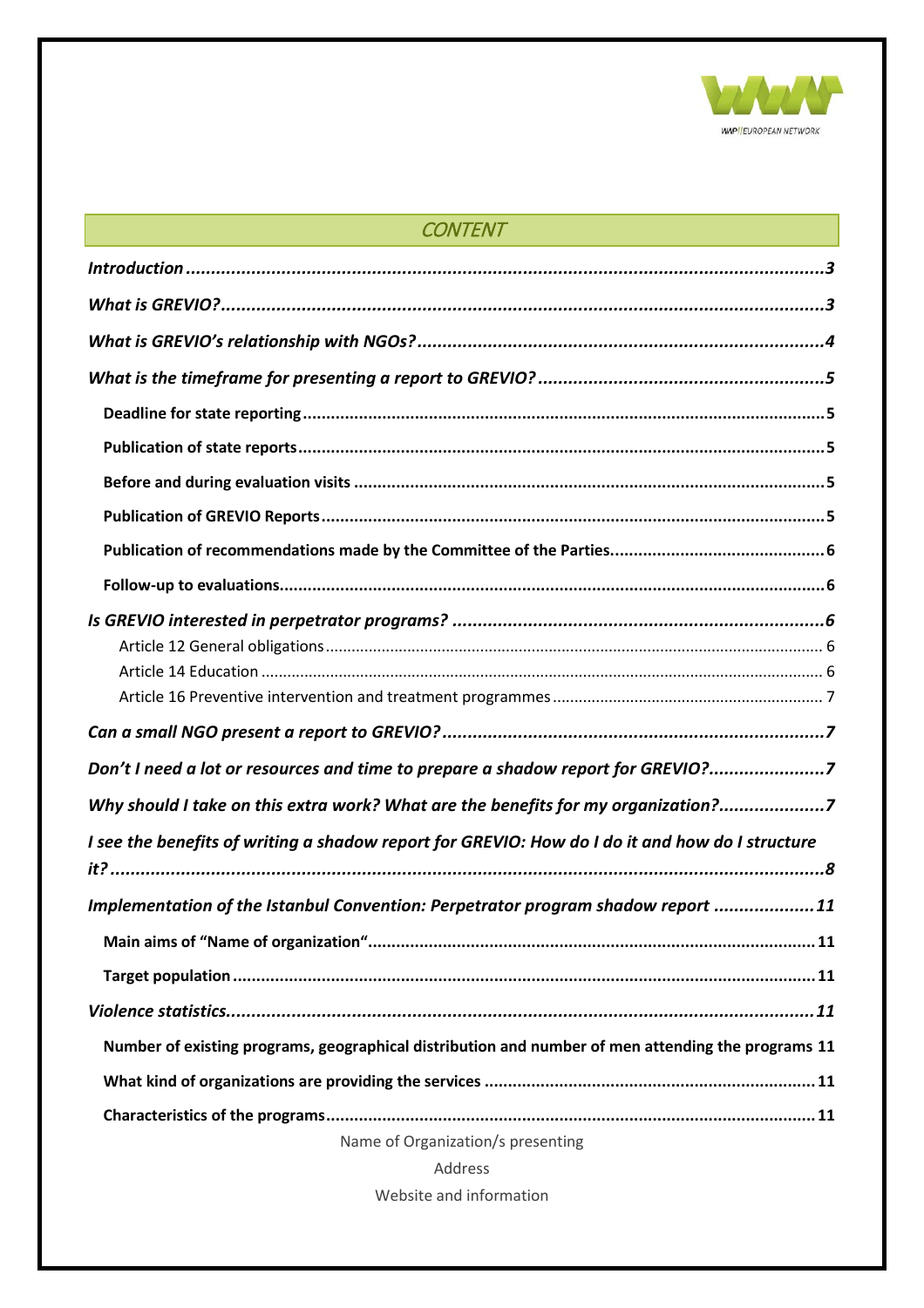

| <b>CONTENT</b><br><u> 1989 - Johann Stein, marwolaethau (b. 1989)</u>                              |
|----------------------------------------------------------------------------------------------------|
|                                                                                                    |
|                                                                                                    |
|                                                                                                    |
|                                                                                                    |
|                                                                                                    |
|                                                                                                    |
|                                                                                                    |
|                                                                                                    |
|                                                                                                    |
|                                                                                                    |
|                                                                                                    |
|                                                                                                    |
|                                                                                                    |
|                                                                                                    |
| Don't I need a lot or resources and time to prepare a shadow report for GREVIO?7                   |
| Why should I take on this extra work? What are the benefits for my organization?7                  |
| I see the benefits of writing a shadow report for GREVIO: How do I do it and how do I structure    |
| Implementation of the Istanbul Convention: Perpetrator program shadow report 11                    |
|                                                                                                    |
|                                                                                                    |
|                                                                                                    |
| Number of existing programs, geographical distribution and number of men attending the programs 11 |
|                                                                                                    |
|                                                                                                    |
| Name of Organization/s presenting                                                                  |
| Address                                                                                            |

Website and information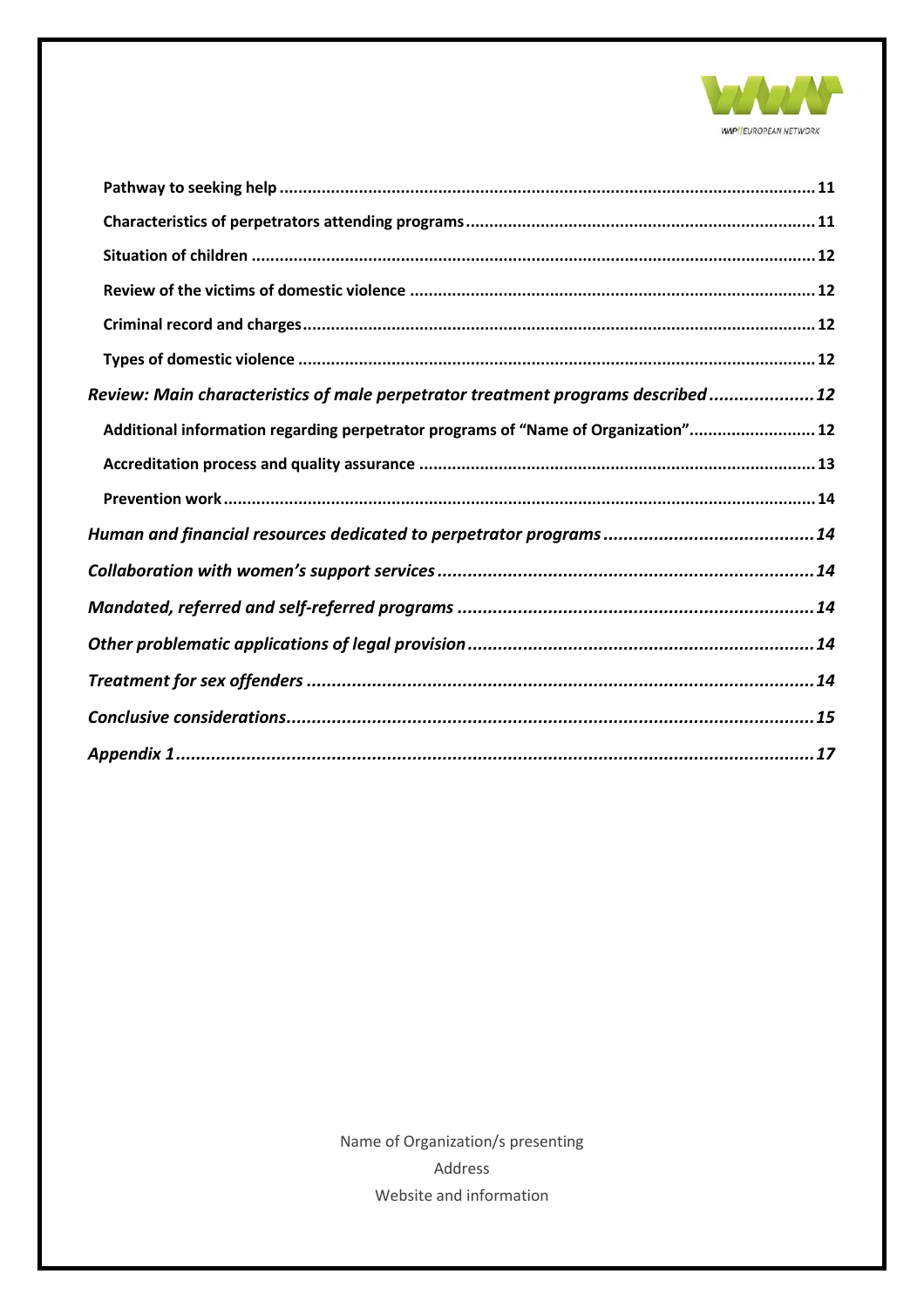

| Review: Main characteristics of male perpetrator treatment programs described12    |
|------------------------------------------------------------------------------------|
| Additional information regarding perpetrator programs of "Name of Organization" 12 |
|                                                                                    |
|                                                                                    |
|                                                                                    |
|                                                                                    |
|                                                                                    |
|                                                                                    |
|                                                                                    |
|                                                                                    |
|                                                                                    |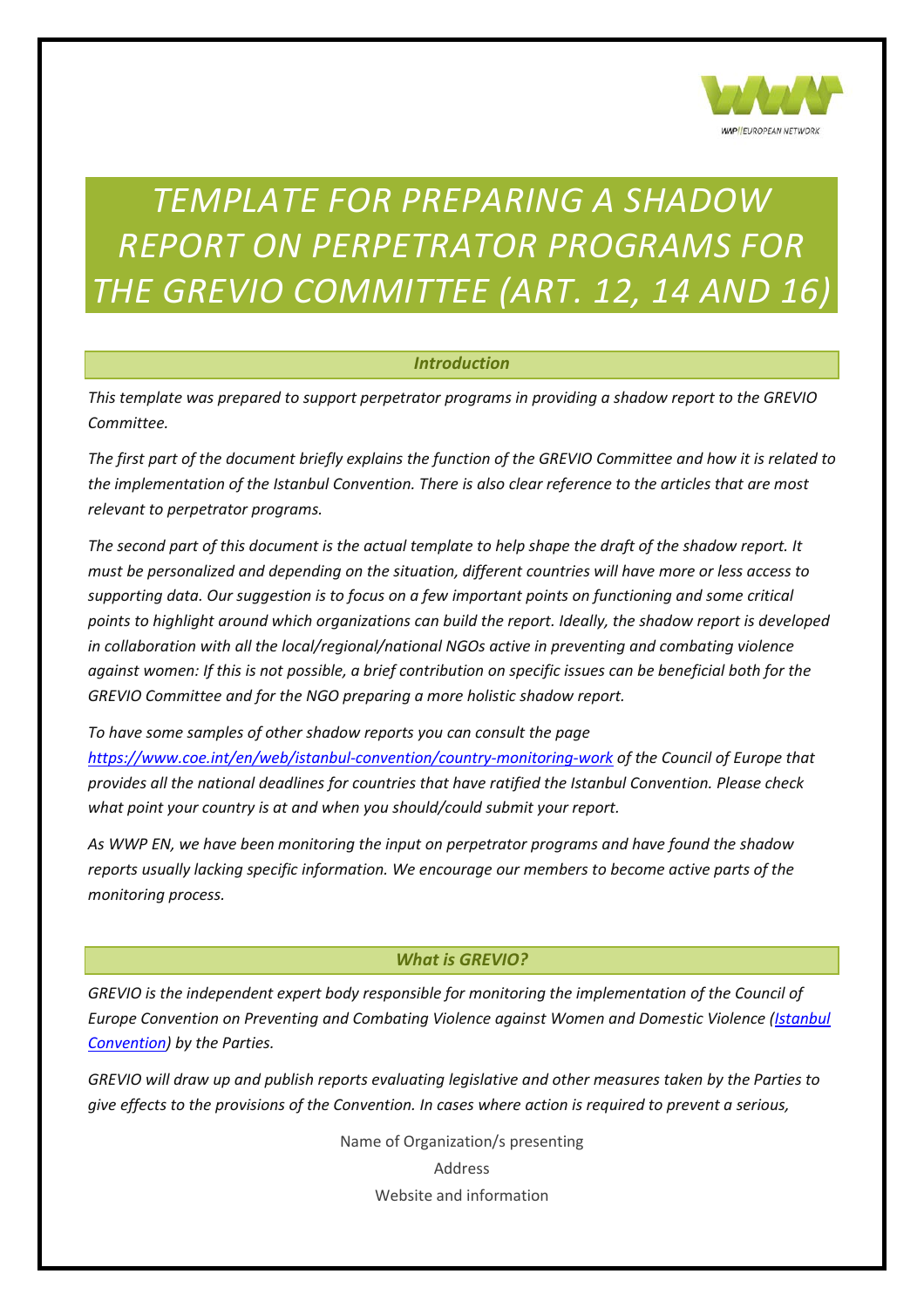

#### *TEMPLATE FOR PREPARING A SHADOW REPORT ON PERPETRATOR PROGRAMS FOR THE GREVIO COMMITTEE (ART. 12, 14 AND 16)*

#### *Introduction*

<span id="page-3-0"></span>*This template was prepared to support perpetrator programs in providing a shadow report to the GREVIO Committee.* 

*The first part of the document briefly explains the function of the GREVIO Committee and how it is related to the implementation of the Istanbul Convention. There is also clear reference to the articles that are most relevant to perpetrator programs.* 

*The second part of this document is the actual template to help shape the draft of the shadow report. It must be personalized and depending on the situation, different countries will have more or less access to supporting data. Our suggestion is to focus on a few important points on functioning and some critical points to highlight around which organizations can build the report. Ideally, the shadow report is developed in collaboration with all the local/regional/national NGOs active in preventing and combating violence against women: If this is not possible, a brief contribution on specific issues can be beneficial both for the GREVIO Committee and for the NGO preparing a more holistic shadow report.* 

*To have some samples of other shadow reports you can consult the page <https://www.coe.int/en/web/istanbul-convention/country-monitoring-work> of the Council of Europe that provides all the national deadlines for countries that have ratified the Istanbul Convention. Please check what point your country is at and when you should/could submit your report.* 

*As WWP EN, we have been monitoring the input on perpetrator programs and have found the shadow reports usually lacking specific information. We encourage our members to become active parts of the monitoring process.*

#### *What is GREVIO?*

<span id="page-3-1"></span>*GREVIO is the independent expert body responsible for monitoring the implementation of the Council of Europe Convention on Preventing and Combating Violence against Women and Domestic Violence (<i>Istanbul [Convention\)](http://rm.coe.int/CoERMPublicCommonSearchServices/DisplayDCTMContent?documentId=090000168046031c) by the Parties.*

*GREVIO will draw up and publish reports evaluating legislative and other measures taken by the Parties to give effects to the provisions of the Convention. In cases where action is required to prevent a serious,*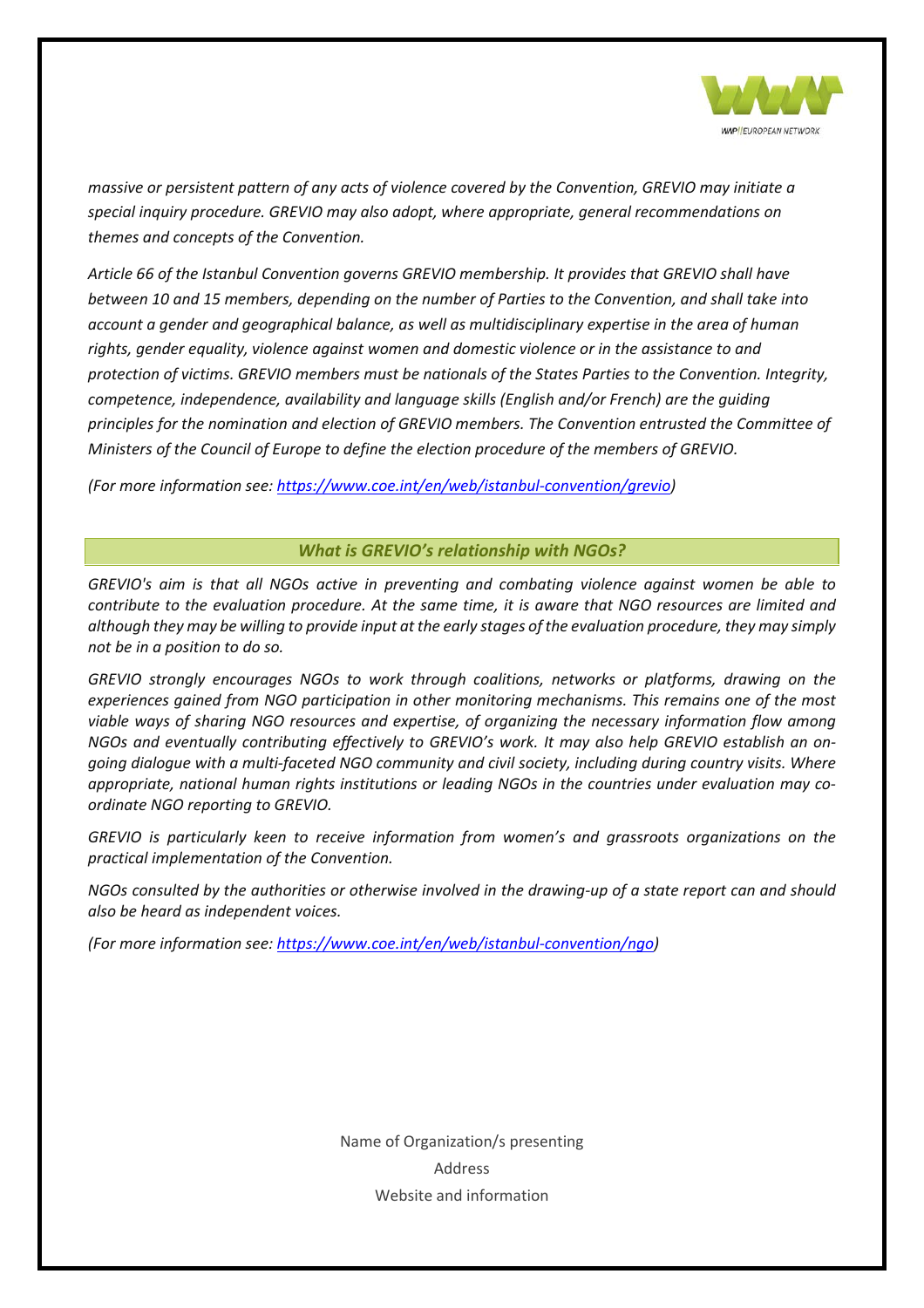

*massive or persistent pattern of any acts of violence covered by the Convention, GREVIO may initiate a special inquiry procedure. GREVIO may also adopt, where appropriate, general recommendations on themes and concepts of the Convention.*

*Article 66 of the Istanbul Convention governs GREVIO membership. It provides that GREVIO shall have between 10 and 15 members, depending on the number of Parties to the Convention, and shall take into account a gender and geographical balance, as well as multidisciplinary expertise in the area of human rights, gender equality, violence against women and domestic violence or in the assistance to and protection of victims. GREVIO members must be nationals of the States Parties to the Convention. Integrity, competence, independence, availability and language skills (English and/or French) are the guiding principles for the nomination and election of GREVIO members. The Convention entrusted the Committee of Ministers of the Council of Europe to define the election procedure of the members of GREVIO.*

<span id="page-4-0"></span>*(For more information see: [https://www.coe.int/en/web/istanbul-convention/grevio\)](https://www.coe.int/en/web/istanbul-convention/grevio)* 

#### *What is GREVIO's relationship with NGOs?*

*GREVIO's aim is that all NGOs active in preventing and combating violence against women be able to contribute to the evaluation procedure. At the same time, it is aware that NGO resources are limited and although they may be willing to provide input at the early stages of the evaluation procedure, they may simply not be in a position to do so.*

*GREVIO strongly encourages NGOs to work through coalitions, networks or platforms, drawing on the experiences gained from NGO participation in other monitoring mechanisms. This remains one of the most viable ways of sharing NGO resources and expertise, of organizing the necessary information flow among NGOs and eventually contributing effectively to GREVIO's work. It may also help GREVIO establish an ongoing dialogue with a multi-faceted NGO community and civil society, including during country visits. Where appropriate, national human rights institutions or leading NGOs in the countries under evaluation may coordinate NGO reporting to GREVIO.*

*GREVIO is particularly keen to receive information from women's and grassroots organizations on the practical implementation of the Convention.*

*NGOs consulted by the authorities or otherwise involved in the drawing-up of a state report can and should also be heard as independent voices.*

*(For more information see: [https://www.coe.int/en/web/istanbul-convention/ngo\)](https://www.coe.int/en/web/istanbul-convention/ngo)*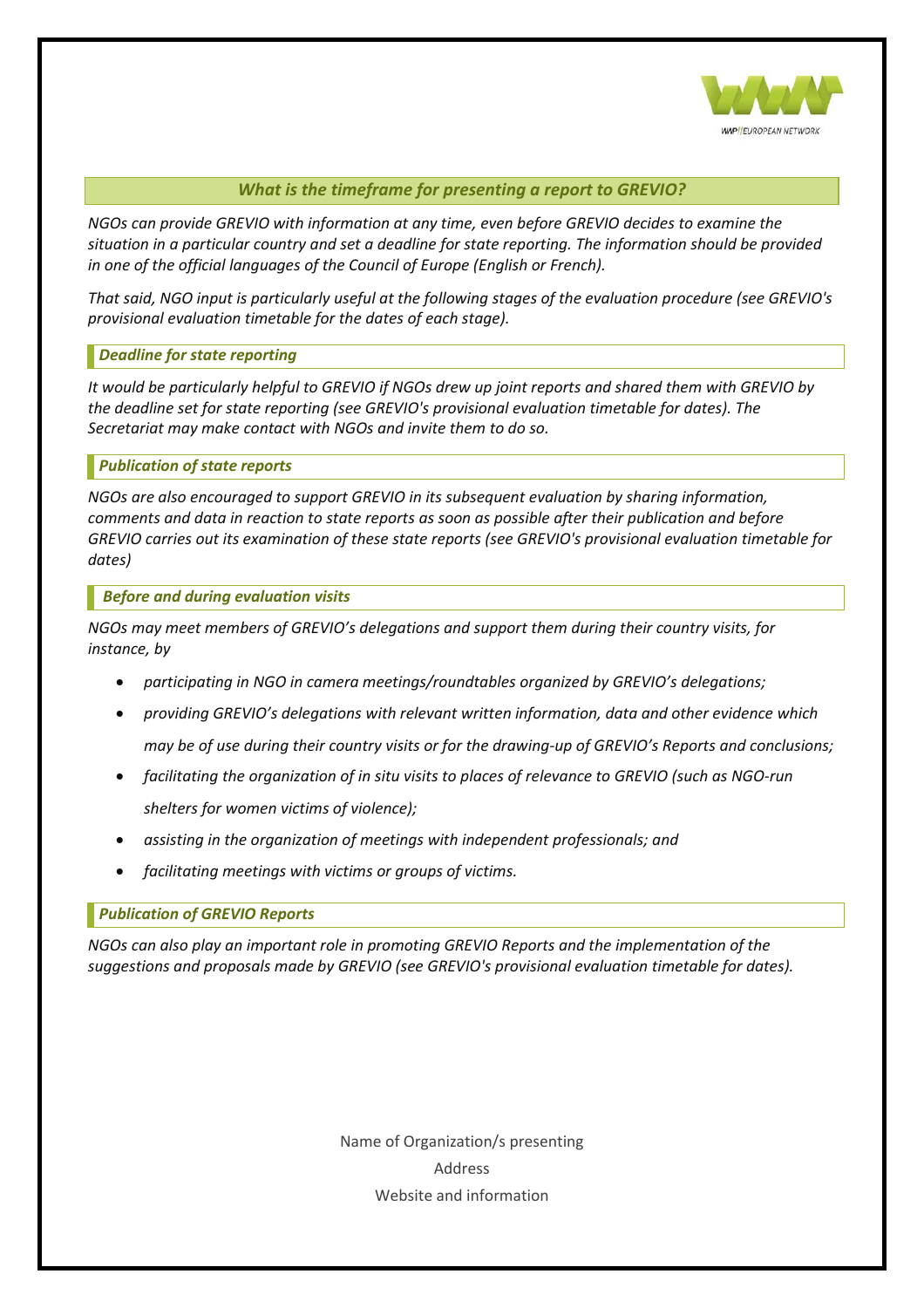

#### *What is the timeframe for presenting a report to GREVIO?*

<span id="page-5-0"></span>*NGOs can provide GREVIO with information at any time, even before GREVIO decides to examine the situation in a particular country and set a deadline for state reporting. The information should be provided in one of the official languages of the Council of Europe (English or French).*

*That said, NGO input is particularly useful at the following stages of the evaluation procedure (see GREVIO's provisional evaluation timetable for the dates of each stage).*

#### <span id="page-5-1"></span>*Deadline for state reporting*

*It would be particularly helpful to GREVIO if NGOs drew up joint reports and shared them with GREVIO by the deadline set for state reporting (see GREVIO's provisional evaluation timetable for dates). The Secretariat may make contact with NGOs and invite them to do so.*

#### <span id="page-5-2"></span>*Publication of state reports*

*NGOs are also encouraged to support GREVIO in its subsequent evaluation by sharing information, comments and data in reaction to state reports as soon as possible after their publication and before GREVIO carries out its examination of these state reports (see GREVIO's provisional evaluation timetable for dates)*

#### <span id="page-5-3"></span>*Before and during evaluation visits*

*NGOs may meet members of GREVIO's delegations and support them during their country visits, for instance, by*

- *participating in NGO in camera meetings/roundtables organized by GREVIO's delegations;*
- *providing GREVIO's delegations with relevant written information, data and other evidence which may be of use during their country visits or for the drawing-up of GREVIO's Reports and conclusions;*
- *facilitating the organization of in situ visits to places of relevance to GREVIO (such as NGO-run shelters for women victims of violence);*
- *assisting in the organization of meetings with independent professionals; and*
- *facilitating meetings with victims or groups of victims.*

#### <span id="page-5-4"></span>*Publication of GREVIO Reports*

*NGOs can also play an important role in promoting GREVIO Reports and the implementation of the suggestions and proposals made by GREVIO (see GREVIO's provisional evaluation timetable for dates).*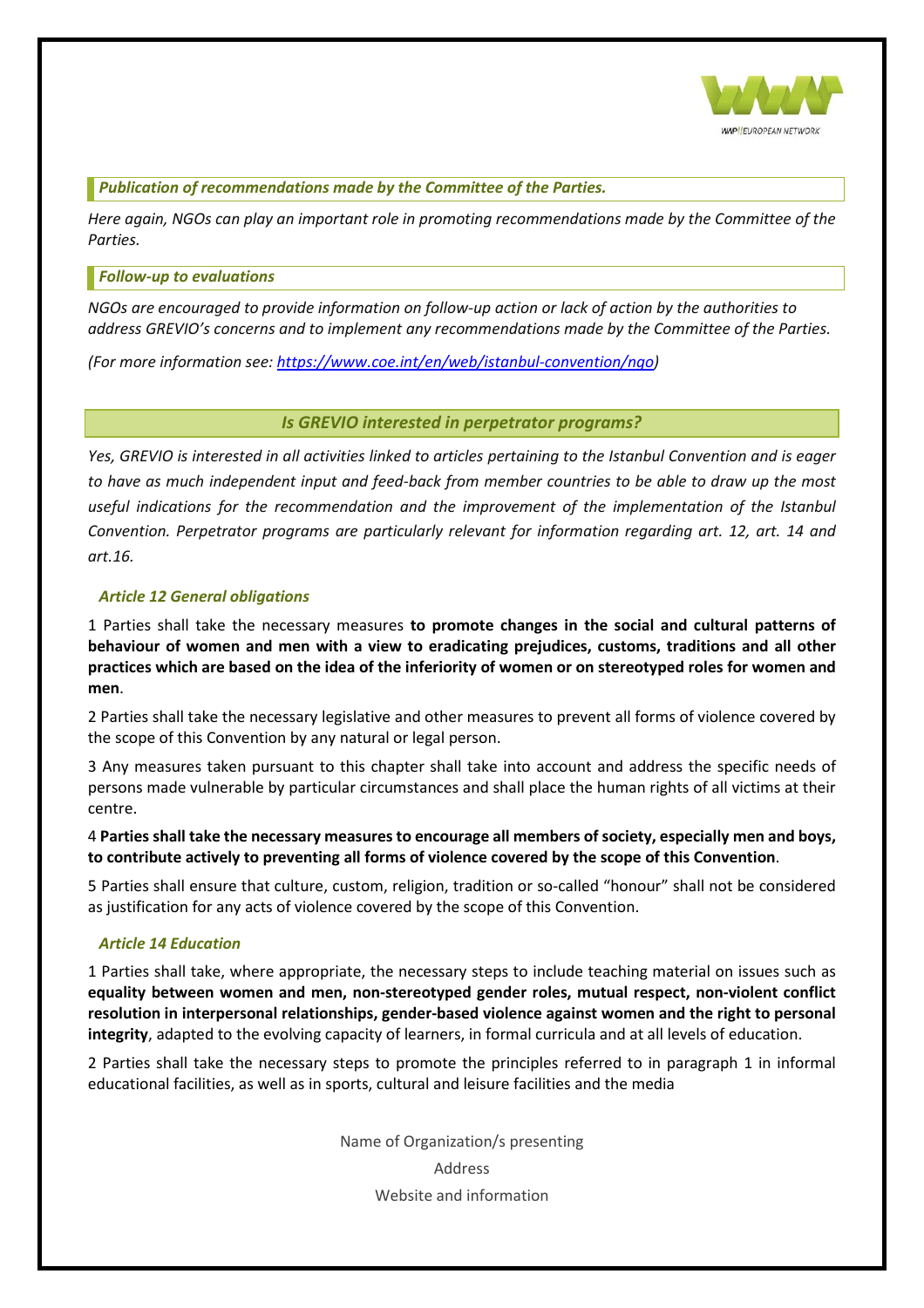

<span id="page-6-0"></span>*Publication of recommendations made by the Committee of the Parties.*

*Here again, NGOs can play an important role in promoting recommendations made by the Committee of the Parties.*

#### <span id="page-6-1"></span>*Follow-up to evaluations*

*NGOs are encouraged to provide information on follow-up action or lack of action by the authorities to address GREVIO's concerns and to implement any recommendations made by the Committee of the Parties.*

<span id="page-6-2"></span>*(For more information see: [https://www.coe.int/en/web/istanbul-convention/ngo\)](https://www.coe.int/en/web/istanbul-convention/ngo)*

#### *Is GREVIO interested in perpetrator programs?*

*Yes, GREVIO is interested in all activities linked to articles pertaining to the Istanbul Convention and is eager to have as much independent input and feed-back from member countries to be able to draw up the most*  useful indications for the recommendation and the improvement of the implementation of the Istanbul *Convention. Perpetrator programs are particularly relevant for information regarding art. 12, art. 14 and art.16.* 

#### <span id="page-6-3"></span>*Article 12 General obligations*

1 Parties shall take the necessary measures **to promote changes in the social and cultural patterns of behaviour of women and men with a view to eradicating prejudices, customs, traditions and all other practices which are based on the idea of the inferiority of women or on stereotyped roles for women and men**.

2 Parties shall take the necessary legislative and other measures to prevent all forms of violence covered by the scope of this Convention by any natural or legal person.

3 Any measures taken pursuant to this chapter shall take into account and address the specific needs of persons made vulnerable by particular circumstances and shall place the human rights of all victims at their centre.

4 **Parties shall take the necessary measures to encourage all members of society, especially men and boys, to contribute actively to preventing all forms of violence covered by the scope of this Convention**.

5 Parties shall ensure that culture, custom, religion, tradition or so-called "honour" shall not be considered as justification for any acts of violence covered by the scope of this Convention.

#### <span id="page-6-4"></span>*Article 14 Education*

1 Parties shall take, where appropriate, the necessary steps to include teaching material on issues such as **equality between women and men, non-stereotyped gender roles, mutual respect, non-violent conflict resolution in interpersonal relationships, gender-based violence against women and the right to personal integrity**, adapted to the evolving capacity of learners, in formal curricula and at all levels of education.

2 Parties shall take the necessary steps to promote the principles referred to in paragraph 1 in informal educational facilities, as well as in sports, cultural and leisure facilities and the media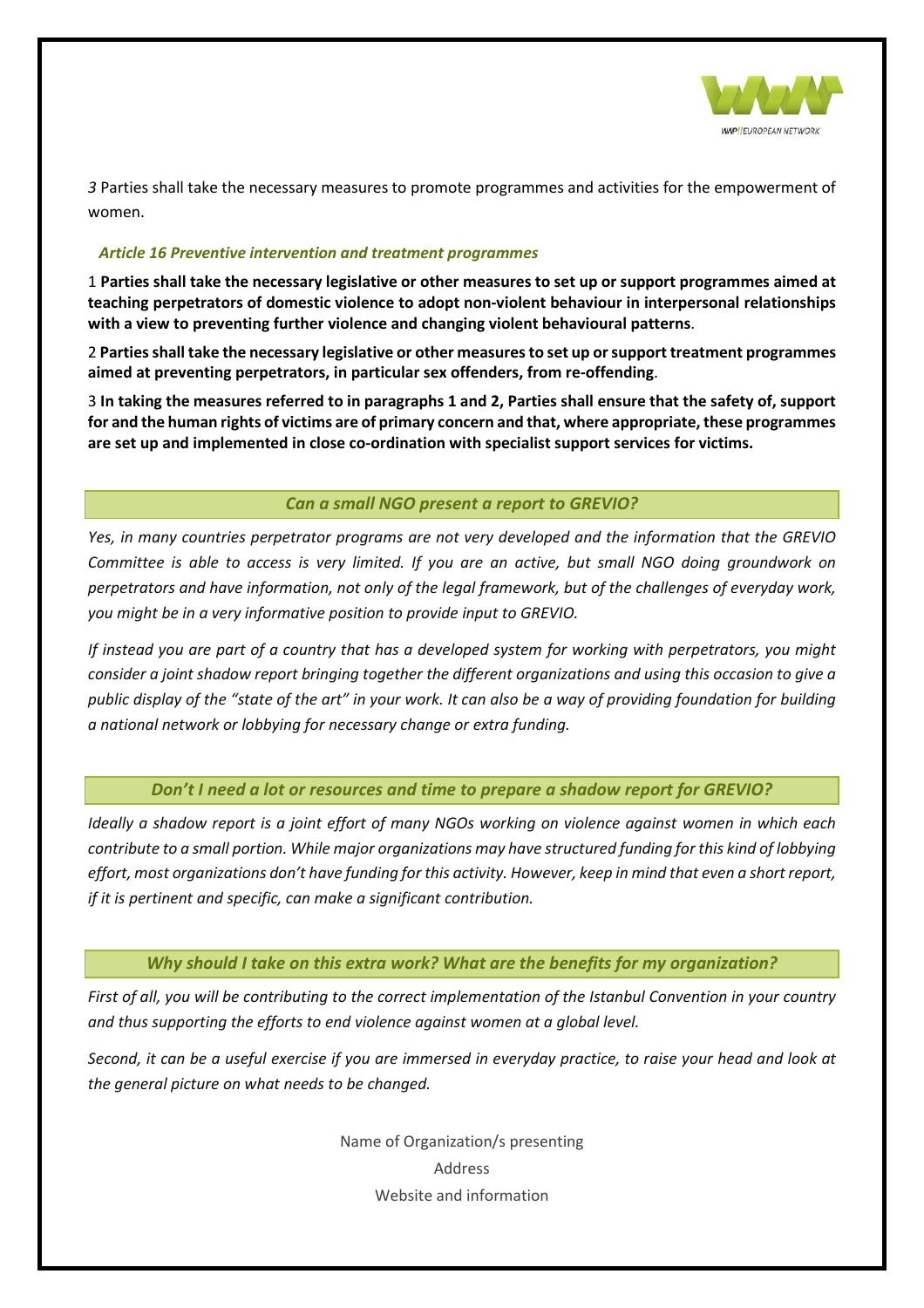

*3* Parties shall take the necessary measures to promote programmes and activities for the empowerment of women.

#### <span id="page-7-0"></span>*Article 16 Preventive intervention and treatment programmes*

1 **Parties shall take the necessary legislative or other measures to set up or support programmes aimed at teaching perpetrators of domestic violence to adopt non-violent behaviour in interpersonal relationships with a view to preventing further violence and changing violent behavioural patterns**.

2 **Parties shall take the necessary legislative or other measures to set up or support treatment programmes aimed at preventing perpetrators, in particular sex offenders, from re-offending**.

3 **In taking the measures referred to in paragraphs 1 and 2, Parties shall ensure that the safety of, support for and the human rights of victims are of primary concern and that, where appropriate, these programmes are set up and implemented in close co-ordination with specialist support services for victims.**

#### *Can a small NGO present a report to GREVIO?*

<span id="page-7-1"></span>*Yes, in many countries perpetrator programs are not very developed and the information that the GREVIO Committee is able to access is very limited. If you are an active, but small NGO doing groundwork on perpetrators and have information, not only of the legal framework, but of the challenges of everyday work, you might be in a very informative position to provide input to GREVIO.*

*If instead you are part of a country that has a developed system for working with perpetrators, you might consider a joint shadow report bringing together the different organizations and using this occasion to give a public display of the "state of the art" in your work. It can also be a way of providing foundation for building a national network or lobbying for necessary change or extra funding.* 

#### *Don't I need a lot or resources and time to prepare a shadow report for GREVIO?*

<span id="page-7-2"></span>*Ideally a shadow report is a joint effort of many NGOs working on violence against women in which each contribute to a small portion. While major organizations may have structured funding for this kind of lobbying effort, most organizations don't have funding for this activity. However, keep in mind that even a short report, if it is pertinent and specific, can make a significant contribution.*

#### *Why should I take on this extra work? What are the benefits for my organization?*

<span id="page-7-3"></span>*First of all, you will be contributing to the correct implementation of the Istanbul Convention in your country and thus supporting the efforts to end violence against women at a global level.* 

*Second, it can be a useful exercise if you are immersed in everyday practice, to raise your head and look at the general picture on what needs to be changed.*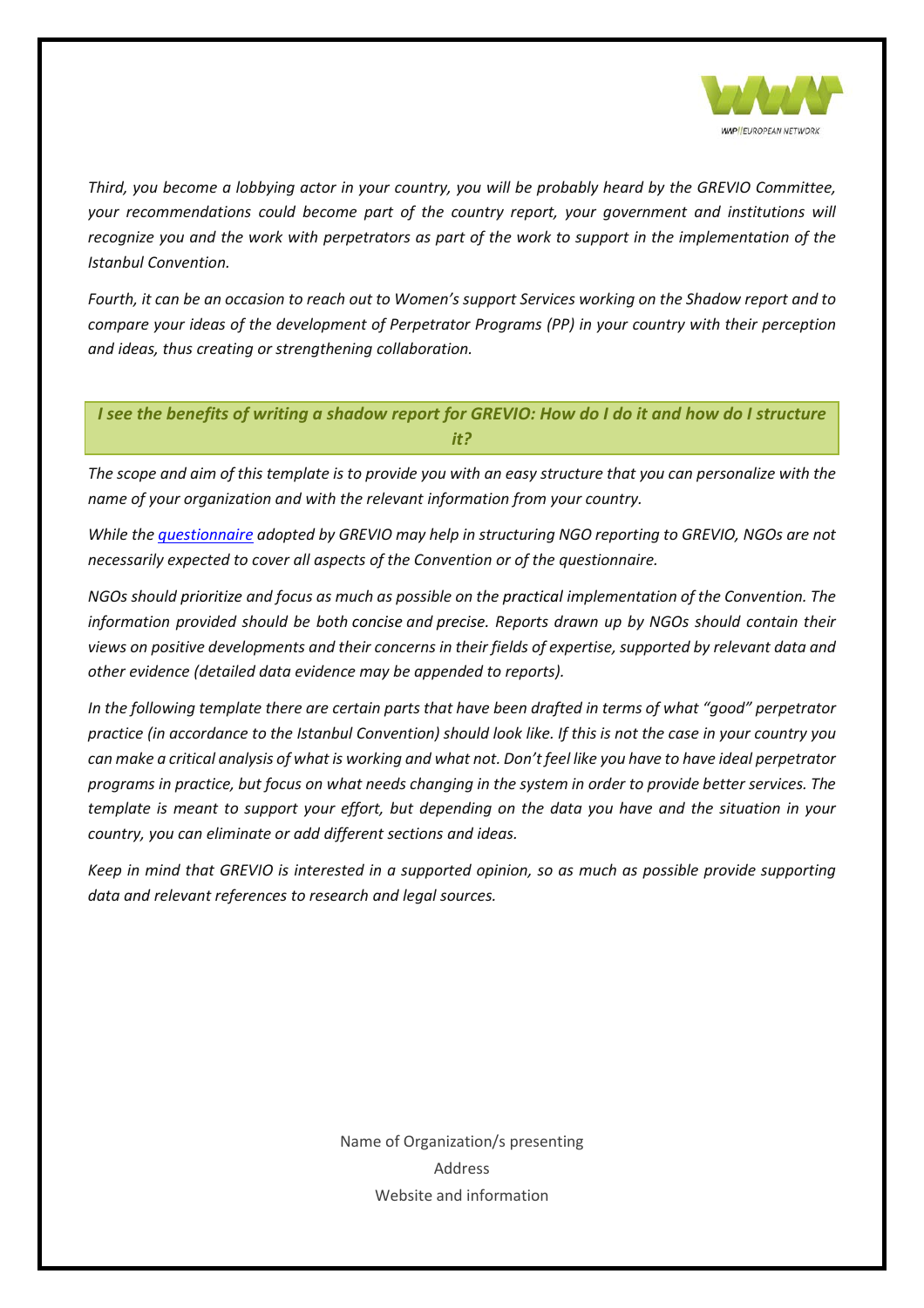

*Third, you become a lobbying actor in your country, you will be probably heard by the GREVIO Committee, your recommendations could become part of the country report, your government and institutions will recognize you and the work with perpetrators as part of the work to support in the implementation of the Istanbul Convention.* 

*Fourth, it can be an occasion to reach out to Women's support Services working on the Shadow report and to compare your ideas of the development of Perpetrator Programs (PP) in your country with their perception and ideas, thus creating or strengthening collaboration.* 

<span id="page-8-0"></span>*I see the benefits of writing a shadow report for GREVIO: How do I do it and how do I structure it?*

*The scope and aim of this template is to provide you with an easy structure that you can personalize with the name of your organization and with the relevant information from your country.* 

*While the [questionnaire](https://rm.coe.int/CoERMPublicCommonSearchServices/DisplayDCTMContent?documentId=09000016805c95b0) adopted by GREVIO may help in structuring NGO reporting to GREVIO, NGOs are not necessarily expected to cover all aspects of the Convention or of the questionnaire.*

*NGOs should prioritize and focus as much as possible on the practical implementation of the Convention. The information provided should be both concise and precise. Reports drawn up by NGOs should contain their views on positive developments and their concerns in their fields of expertise, supported by relevant data and other evidence (detailed data evidence may be appended to reports).*

*In the following template there are certain parts that have been drafted in terms of what "good" perpetrator practice (in accordance to the Istanbul Convention) should look like. If this is not the case in your country you can make a critical analysis of what is working and what not. Don't feel like you have to have ideal perpetrator programs in practice, but focus on what needs changing in the system in order to provide better services. The template is meant to support your effort, but depending on the data you have and the situation in your country, you can eliminate or add different sections and ideas.* 

*Keep in mind that GREVIO is interested in a supported opinion, so as much as possible provide supporting data and relevant references to research and legal sources.*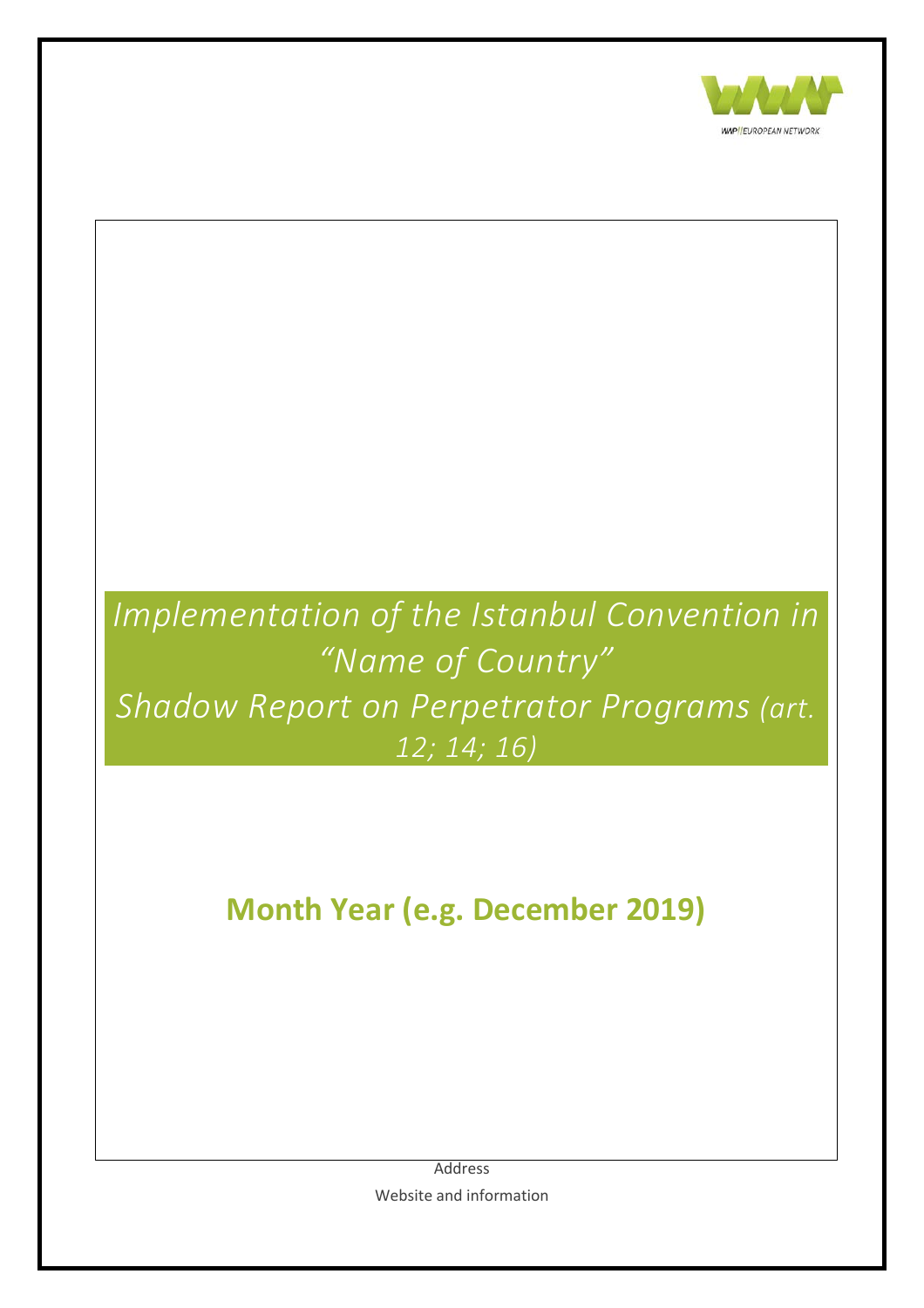

# *Implementation of the Istanbul Convention in "Name of Country" Shadow Report on Perpetrator Programs (art. 12; 14; 16)* **Month Year (e.g. December 2019)**

Address Website and information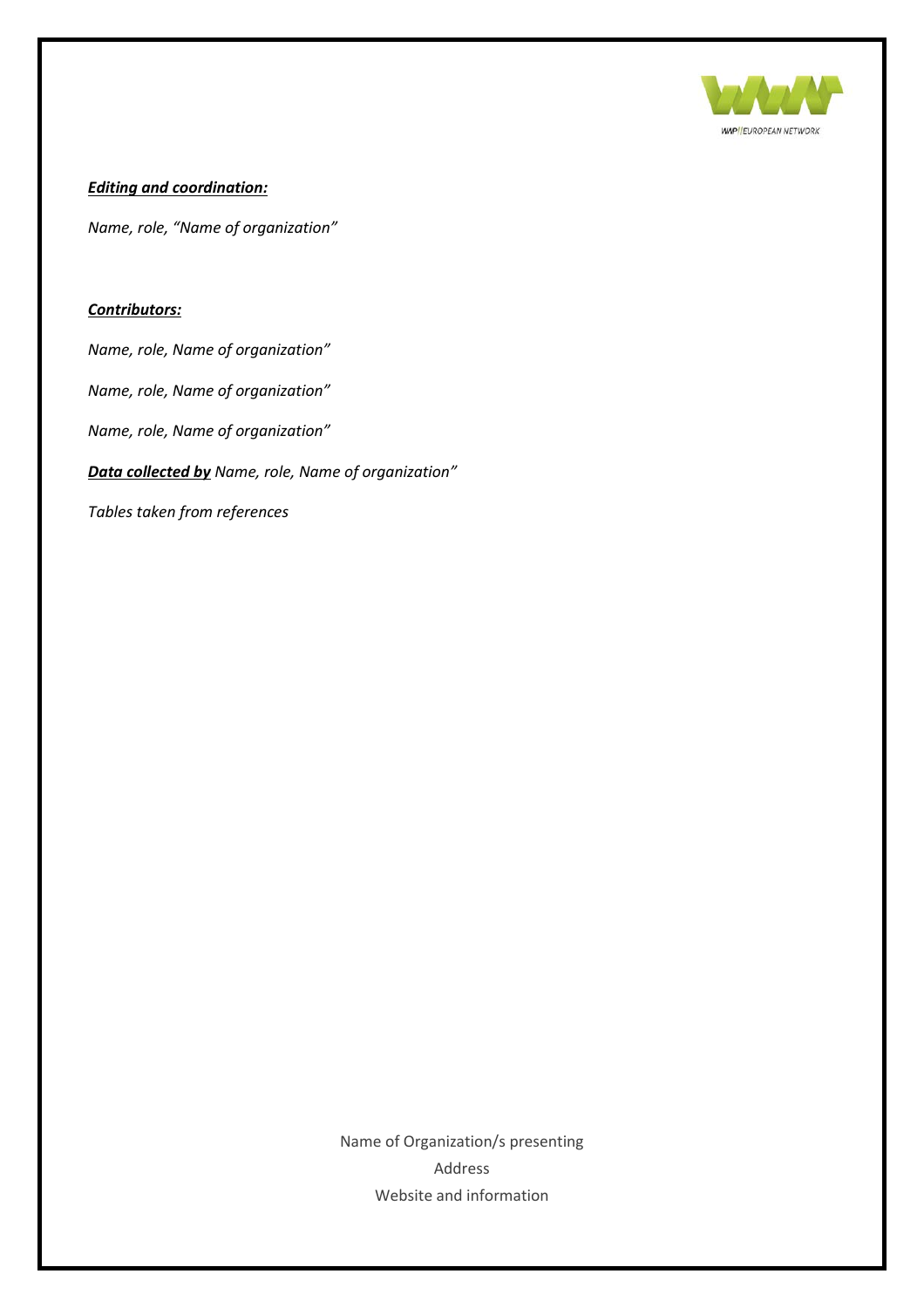

#### *Editing and coordination:*

*Name, role, "Name of organization"*

#### *Contributors:*

*Name, role, Name of organization"*

*Name, role, Name of organization"*

*Name, role, Name of organization"*

*Data collected by Name, role, Name of organization"*

*Tables taken from references*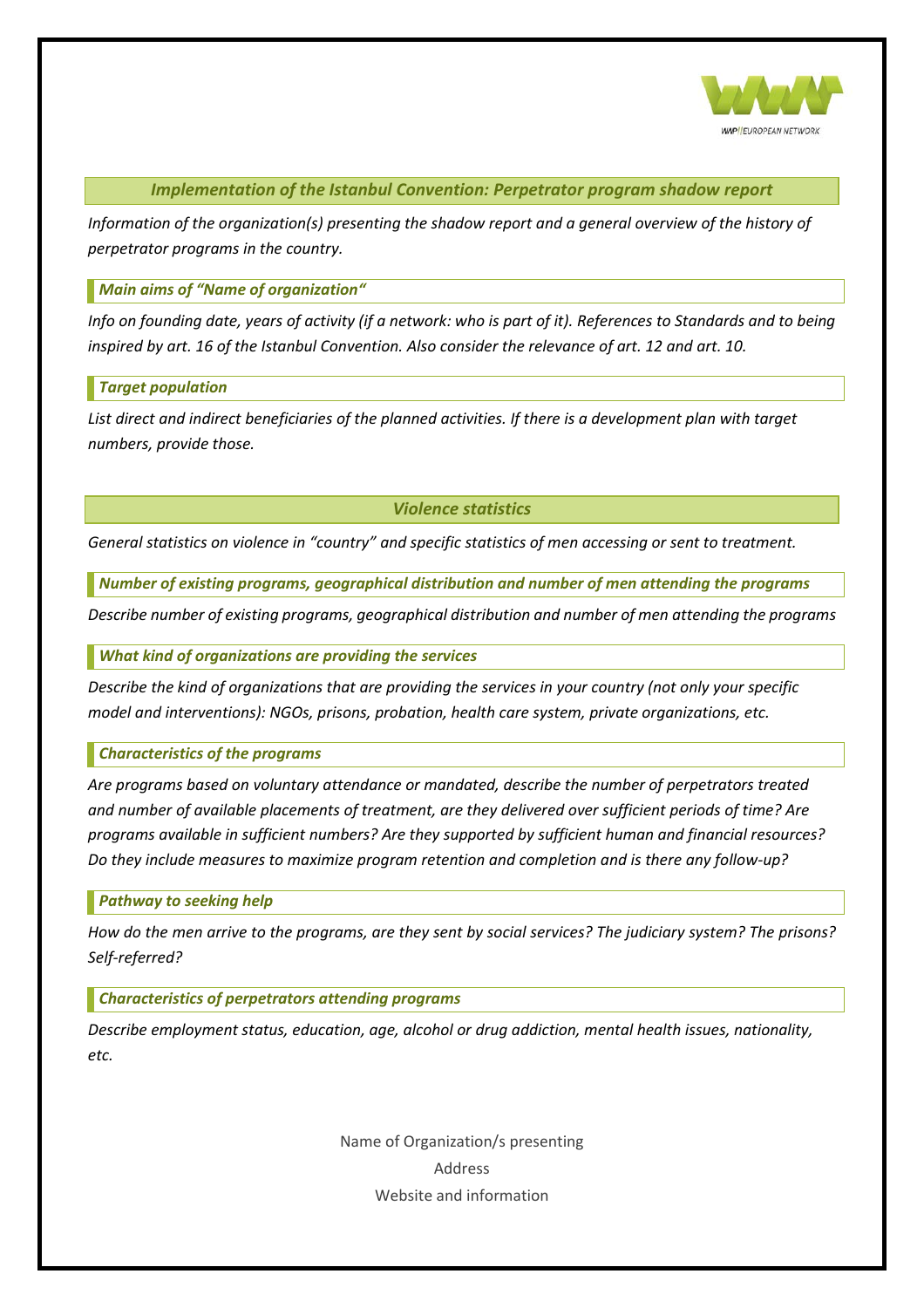

*Implementation of the Istanbul Convention: Perpetrator program shadow report*

<span id="page-11-0"></span>*Information of the organization(s) presenting the shadow report and a general overview of the history of perpetrator programs in the country.* 

<span id="page-11-1"></span>*Main aims of "Name of organization"*

*Info on founding date, years of activity (if a network: who is part of it). References to Standards and to being inspired by art. 16 of the Istanbul Convention. Also consider the relevance of art. 12 and art. 10.*

#### <span id="page-11-2"></span>*Target population*

*List direct and indirect beneficiaries of the planned activities. If there is a development plan with target numbers, provide those.* 

#### *Violence statistics*

<span id="page-11-3"></span>*General statistics on violence in "country" and specific statistics of men accessing or sent to treatment.* 

<span id="page-11-4"></span>*Number of existing programs, geographical distribution and number of men attending the programs*

*Describe number of existing programs, geographical distribution and number of men attending the programs*

<span id="page-11-5"></span>*What kind of organizations are providing the services*

*Describe the kind of organizations that are providing the services in your country (not only your specific model and interventions): NGOs, prisons, probation, health care system, private organizations, etc.*

<span id="page-11-6"></span>*Characteristics of the programs* 

*Are programs based on voluntary attendance or mandated, describe the number of perpetrators treated and number of available placements of treatment, are they delivered over sufficient periods of time? Are programs available in sufficient numbers? Are they supported by sufficient human and financial resources? Do they include measures to maximize program retention and completion and is there any follow-up?*

<span id="page-11-7"></span>*Pathway to seeking help*

*How do the men arrive to the programs, are they sent by social services? The judiciary system? The prisons? Self-referred?*

<span id="page-11-8"></span>*Characteristics of perpetrators attending programs* 

*Describe employment status, education, age, alcohol or drug addiction, mental health issues, nationality, etc.*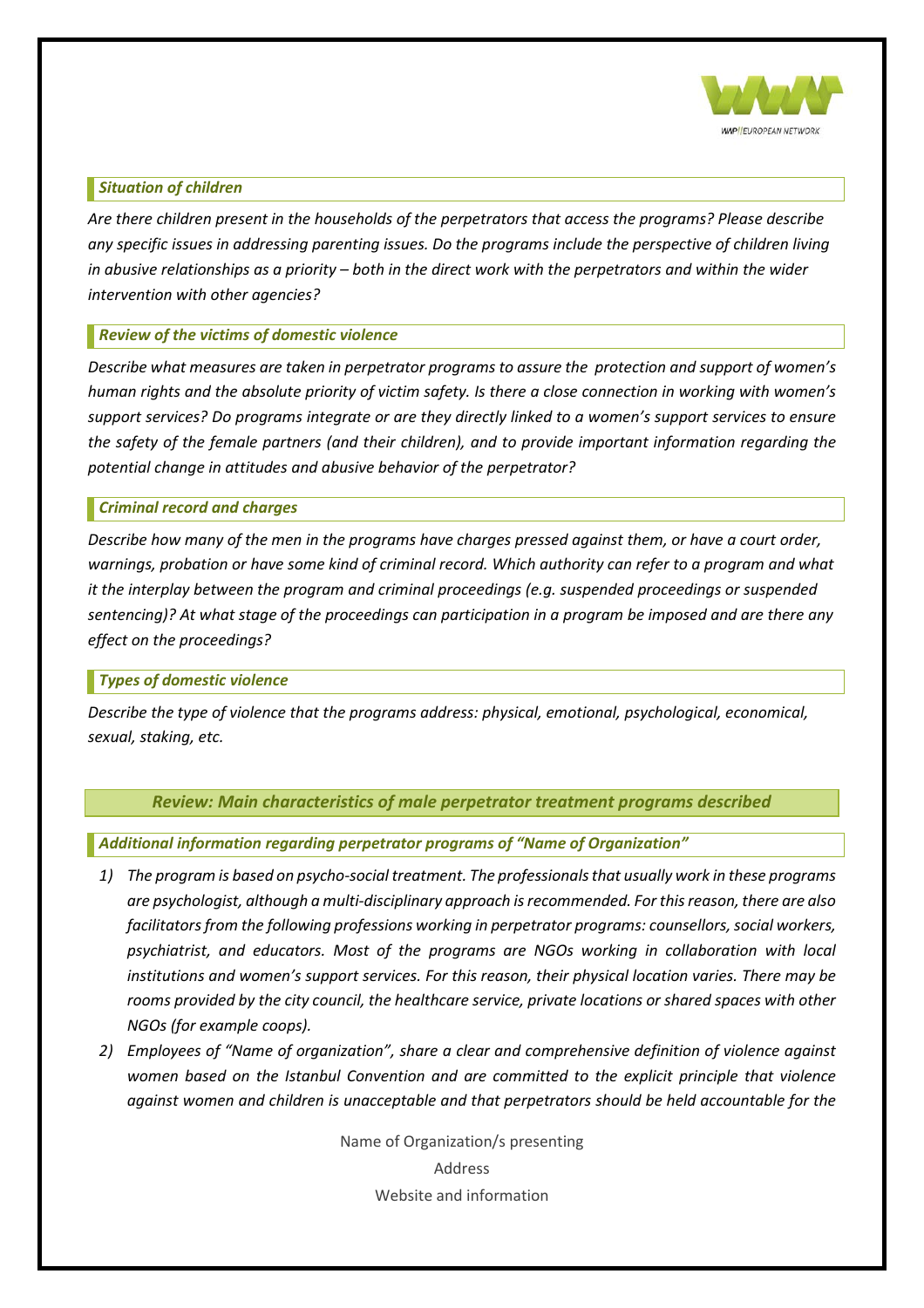

#### <span id="page-12-0"></span>*Situation of children*

*Are there children present in the households of the perpetrators that access the programs? Please describe any specific issues in addressing parenting issues. Do the programs include the perspective of children living in abusive relationships as a priority – both in the direct work with the perpetrators and within the wider intervention with other agencies?*

#### <span id="page-12-1"></span>*Review of the victims of domestic violence*

*Describe what measures are taken in perpetrator programs to assure the protection and support of women's human rights and the absolute priority of victim safety. Is there a close connection in working with women's support services? Do programs integrate or are they directly linked to a women's support services to ensure the safety of the female partners (and their children), and to provide important information regarding the potential change in attitudes and abusive behavior of the perpetrator?*

#### <span id="page-12-2"></span>*Criminal record and charges*

*Describe how many of the men in the programs have charges pressed against them, or have a court order, warnings, probation or have some kind of criminal record. Which authority can refer to a program and what it the interplay between the program and criminal proceedings (e.g. suspended proceedings or suspended sentencing)? At what stage of the proceedings can participation in a program be imposed and are there any effect on the proceedings?*

#### <span id="page-12-3"></span>*Types of domestic violence*

<span id="page-12-4"></span>*Describe the type of violence that the programs address: physical, emotional, psychological, economical, sexual, staking, etc.*

#### *Review: Main characteristics of male perpetrator treatment programs described*

<span id="page-12-5"></span>*Additional information regarding perpetrator programs of "Name of Organization"*

- *1) The program is based on psycho-social treatment. The professionals that usually work in these programs are psychologist, although a multi-disciplinary approach is recommended. For this reason, there are also facilitators from the following professions working in perpetrator programs: counsellors, social workers, psychiatrist, and educators. Most of the programs are NGOs working in collaboration with local institutions and women's support services. For this reason, their physical location varies. There may be rooms provided by the city council, the healthcare service, private locations or shared spaces with other NGOs (for example coops).*
- *2) Employees of "Name of organization", share a clear and comprehensive definition of violence against women based on the Istanbul Convention and are committed to the explicit principle that violence against women and children is unacceptable and that perpetrators should be held accountable for the*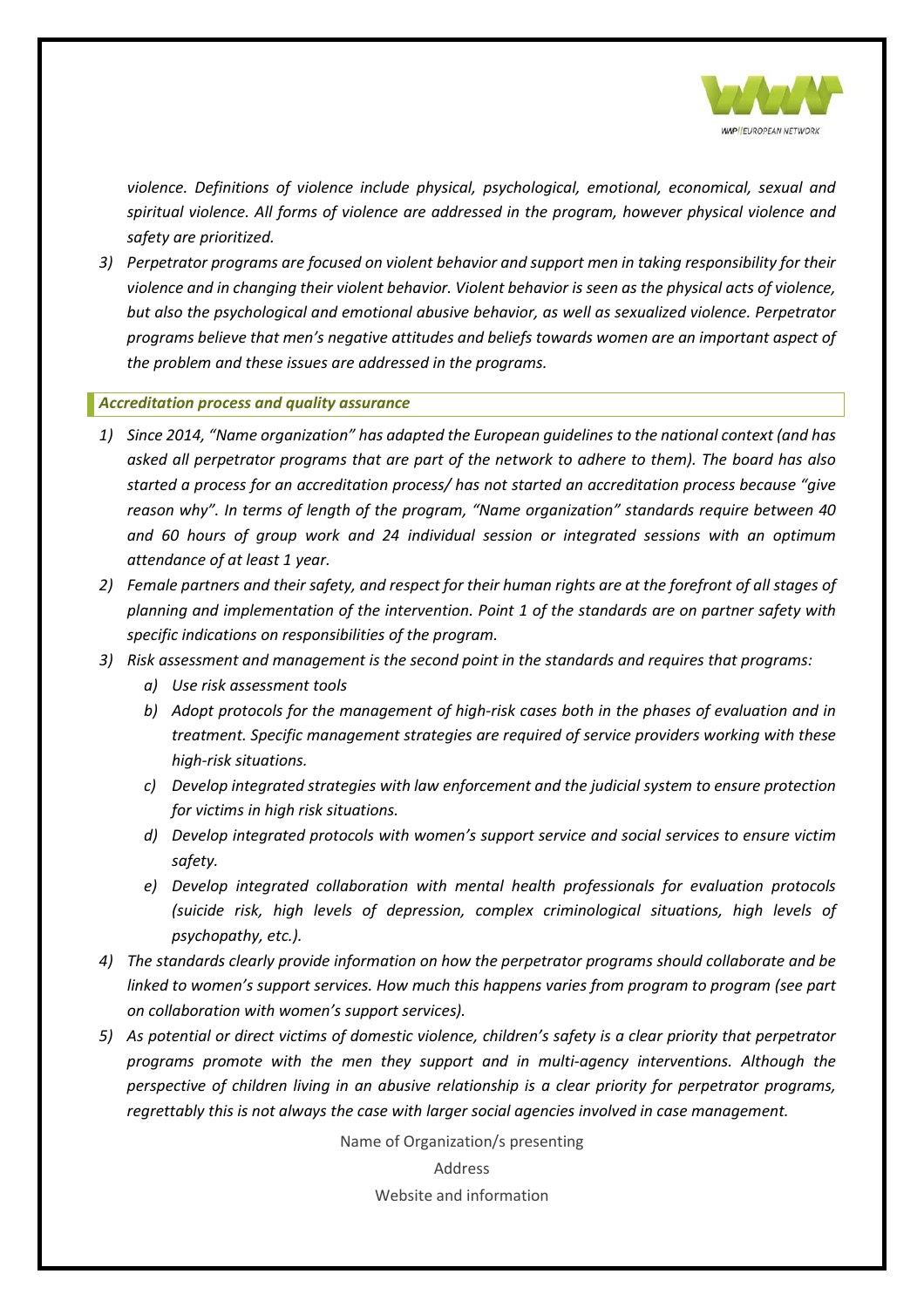

*violence. Definitions of violence include physical, psychological, emotional, economical, sexual and spiritual violence. All forms of violence are addressed in the program, however physical violence and safety are prioritized.*

*3) Perpetrator programs are focused on violent behavior and support men in taking responsibility for their violence and in changing their violent behavior. Violent behavior is seen as the physical acts of violence, but also the psychological and emotional abusive behavior, as well as sexualized violence. Perpetrator programs believe that men's negative attitudes and beliefs towards women are an important aspect of the problem and these issues are addressed in the programs.* 

#### <span id="page-13-0"></span>*Accreditation process and quality assurance*

- *1) Since 2014, "Name organization" has adapted the European guidelines to the national context (and has asked all perpetrator programs that are part of the network to adhere to them). The board has also started a process for an accreditation process/ has not started an accreditation process because "give reason why". In terms of length of the program, "Name organization" standards require between 40 and 60 hours of group work and 24 individual session or integrated sessions with an optimum attendance of at least 1 year.*
- *2) Female partners and their safety, and respect for their human rights are at the forefront of all stages of planning and implementation of the intervention. Point 1 of the standards are on partner safety with specific indications on responsibilities of the program.*
- *3) Risk assessment and management is the second point in the standards and requires that programs:*
	- *a) Use risk assessment tools*
	- *b) Adopt protocols for the management of high-risk cases both in the phases of evaluation and in treatment. Specific management strategies are required of service providers working with these high-risk situations.*
	- *c) Develop integrated strategies with law enforcement and the judicial system to ensure protection for victims in high risk situations.*
	- *d) Develop integrated protocols with women's support service and social services to ensure victim safety.*
	- *e) Develop integrated collaboration with mental health professionals for evaluation protocols (suicide risk, high levels of depression, complex criminological situations, high levels of psychopathy, etc.).*
- *4) The standards clearly provide information on how the perpetrator programs should collaborate and be linked to women's support services. How much this happens varies from program to program (see part on collaboration with women's support services).*
- *5) As potential or direct victims of domestic violence, children's safety is a clear priority that perpetrator programs promote with the men they support and in multi-agency interventions. Although the perspective of children living in an abusive relationship is a clear priority for perpetrator programs, regrettably this is not always the case with larger social agencies involved in case management.*

Name of Organization/s presenting

Address

Website and information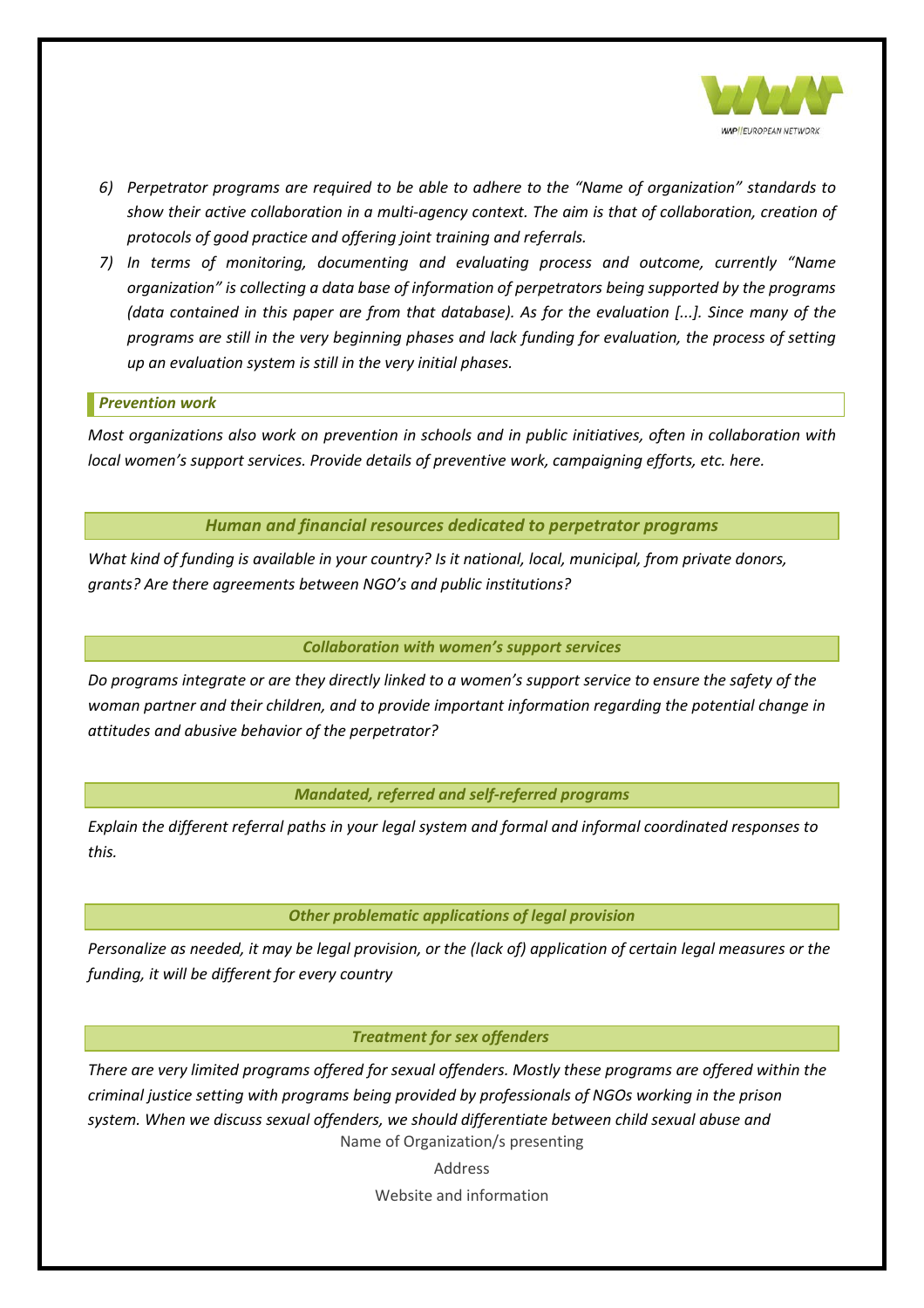

- *6) Perpetrator programs are required to be able to adhere to the "Name of organization" standards to show their active collaboration in a multi-agency context. The aim is that of collaboration, creation of protocols of good practice and offering joint training and referrals.*
- *7) In terms of monitoring, documenting and evaluating process and outcome, currently "Name organization" is collecting a data base of information of perpetrators being supported by the programs (data contained in this paper are from that database). As for the evaluation [...]. Since many of the programs are still in the very beginning phases and lack funding for evaluation, the process of setting up an evaluation system is still in the very initial phases.*

#### <span id="page-14-0"></span>*Prevention work*

*Most organizations also work on prevention in schools and in public initiatives, often in collaboration with local women's support services. Provide details of preventive work, campaigning efforts, etc. here.*

*Human and financial resources dedicated to perpetrator programs*

<span id="page-14-1"></span>*What kind of funding is available in your country? Is it national, local, municipal, from private donors, grants? Are there agreements between NGO's and public institutions?*

#### *Collaboration with women's support services*

<span id="page-14-2"></span>*Do programs integrate or are they directly linked to a women's support service to ensure the safety of the woman partner and their children, and to provide important information regarding the potential change in attitudes and abusive behavior of the perpetrator?*

#### *Mandated, referred and self-referred programs*

<span id="page-14-3"></span>*Explain the different referral paths in your legal system and formal and informal coordinated responses to this.* 

#### *Other problematic applications of legal provision*

<span id="page-14-4"></span>*Personalize as needed, it may be legal provision, or the (lack of) application of certain legal measures or the funding, it will be different for every country*

#### *Treatment for sex offenders*

<span id="page-14-5"></span>Name of Organization/s presenting *There are very limited programs offered for sexual offenders. Mostly these programs are offered within the criminal justice setting with programs being provided by professionals of NGOs working in the prison system. When we discuss sexual offenders, we should differentiate between child sexual abuse and*

Address

Website and information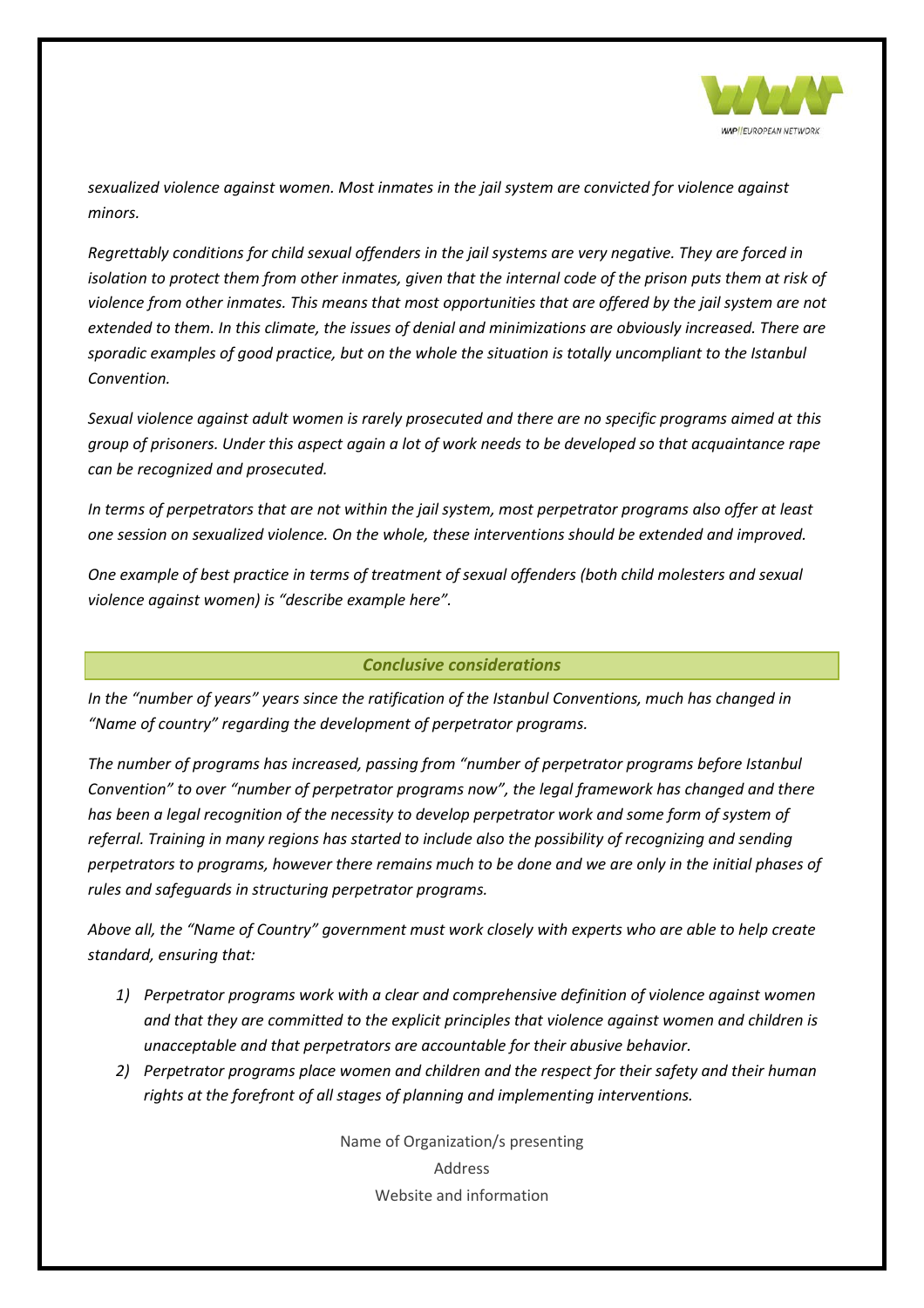

*sexualized violence against women. Most inmates in the jail system are convicted for violence against minors.*

*Regrettably conditions for child sexual offenders in the jail systems are very negative. They are forced in isolation to protect them from other inmates, given that the internal code of the prison puts them at risk of violence from other inmates. This means that most opportunities that are offered by the jail system are not extended to them. In this climate, the issues of denial and minimizations are obviously increased. There are sporadic examples of good practice, but on the whole the situation is totally uncompliant to the Istanbul Convention.* 

*Sexual violence against adult women is rarely prosecuted and there are no specific programs aimed at this group of prisoners. Under this aspect again a lot of work needs to be developed so that acquaintance rape can be recognized and prosecuted.*

*In terms of perpetrators that are not within the jail system, most perpetrator programs also offer at least one session on sexualized violence. On the whole, these interventions should be extended and improved.* 

*One example of best practice in terms of treatment of sexual offenders (both child molesters and sexual violence against women) is "describe example here".*

#### *Conclusive considerations*

<span id="page-15-0"></span>*In the "number of years" years since the ratification of the Istanbul Conventions, much has changed in "Name of country" regarding the development of perpetrator programs.* 

*The number of programs has increased, passing from "number of perpetrator programs before Istanbul Convention" to over "number of perpetrator programs now", the legal framework has changed and there has been a legal recognition of the necessity to develop perpetrator work and some form of system of referral. Training in many regions has started to include also the possibility of recognizing and sending perpetrators to programs, however there remains much to be done and we are only in the initial phases of rules and safeguards in structuring perpetrator programs.* 

*Above all, the "Name of Country" government must work closely with experts who are able to help create standard, ensuring that:*

- *1) Perpetrator programs work with a clear and comprehensive definition of violence against women and that they are committed to the explicit principles that violence against women and children is unacceptable and that perpetrators are accountable for their abusive behavior.*
- *2) Perpetrator programs place women and children and the respect for their safety and their human rights at the forefront of all stages of planning and implementing interventions.*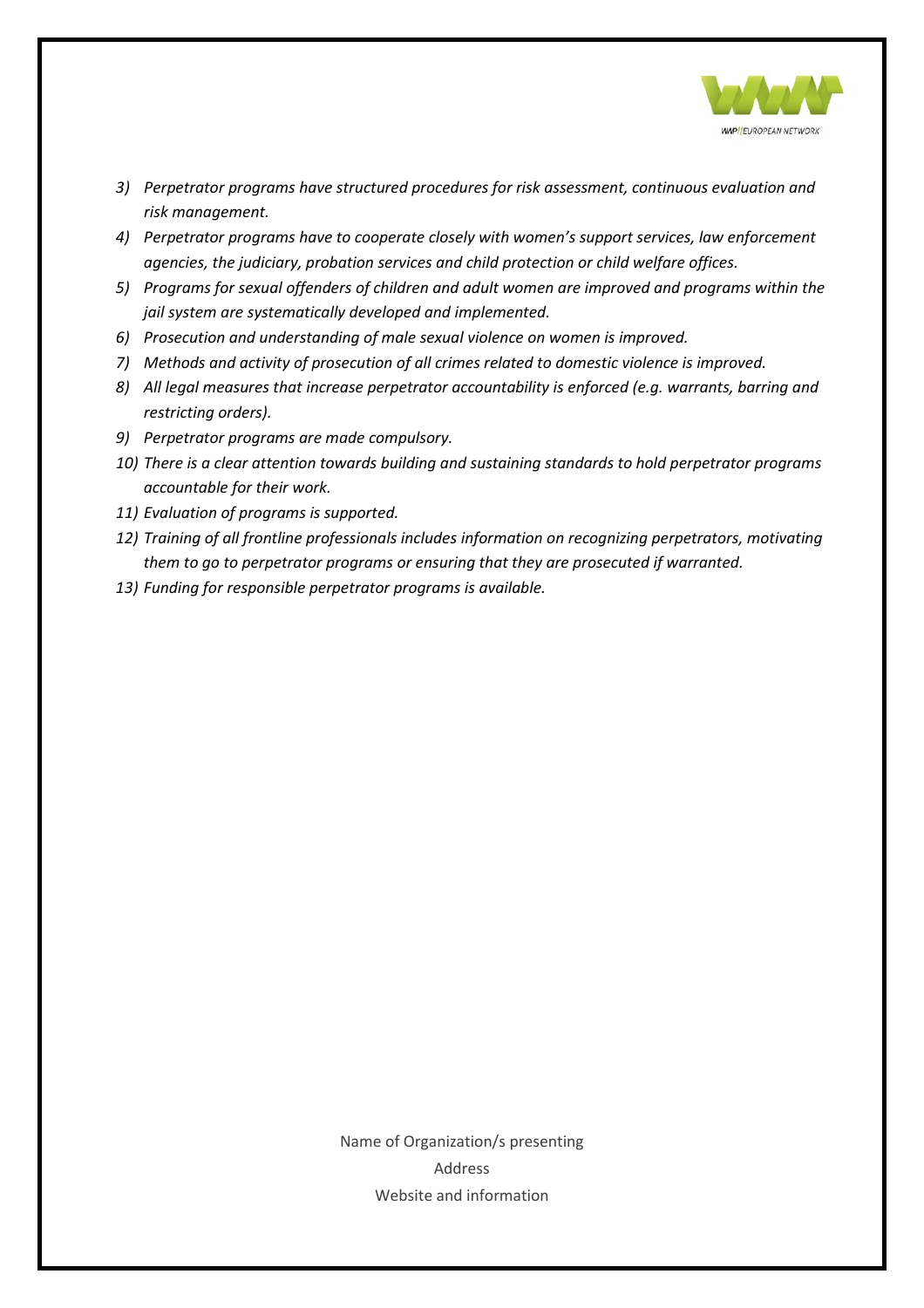

- *3) Perpetrator programs have structured procedures for risk assessment, continuous evaluation and risk management.*
- *4) Perpetrator programs have to cooperate closely with women's support services, law enforcement agencies, the judiciary, probation services and child protection or child welfare offices.*
- *5) Programs for sexual offenders of children and adult women are improved and programs within the jail system are systematically developed and implemented.*
- *6) Prosecution and understanding of male sexual violence on women is improved.*
- *7*) Methods and activity of prosecution of all crimes related to domestic violence is improved.
- *8) All legal measures that increase perpetrator accountability is enforced (e.g. warrants, barring and restricting orders).*
- *9) Perpetrator programs are made compulsory.*
- *10) There is a clear attention towards building and sustaining standards to hold perpetrator programs accountable for their work.*
- *11) Evaluation of programs is supported.*
- *12) Training of all frontline professionals includes information on recognizing perpetrators, motivating them to go to perpetrator programs or ensuring that they are prosecuted if warranted.*
- *13) Funding for responsible perpetrator programs is available.*